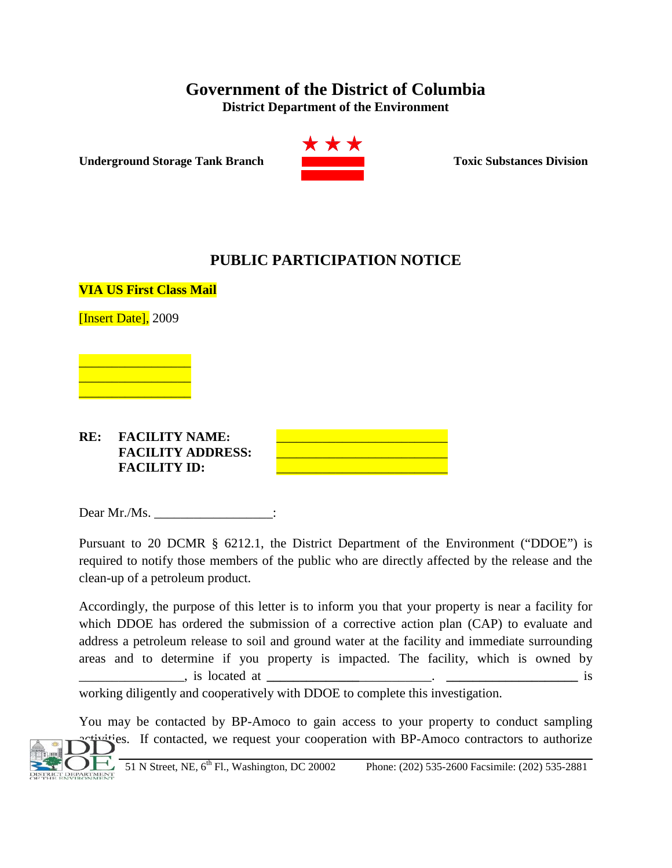## **Government of the District of Columbia**

**District Department of the Environment**

**Underground Storage Tank Branch Toxic Substances Division** 



## **PUBLIC PARTICIPATION NOTICE**



Dear Mr./Ms. \_\_\_\_\_\_\_\_\_\_\_\_\_\_\_\_\_\_\_:

Pursuant to 20 DCMR § 6212.1, the District Department of the Environment ("DDOE") is required to notify those members of the public who are directly affected by the release and the clean-up of a petroleum product.

Accordingly, the purpose of this letter is to inform you that your property is near a facility for which DDOE has ordered the submission of a corrective action plan (CAP) to evaluate and address a petroleum release to soil and ground water at the facility and immediate surrounding areas and to determine if you property is impacted. The facility, which is owned by \_\_\_\_\_\_\_\_\_\_\_\_\_\_\_\_, is located at **\_\_\_\_\_\_\_\_\_\_\_\_\_\_**\_\_\_\_\_\_\_\_\_\_\_. **\_\_\_\_\_\_\_\_\_\_\_\_\_\_\_\_\_\_\_\_** is

working diligently and cooperatively with DDOE to complete this investigation.

You may be contacted by BP-Amoco to gain access to your property to conduct sampling ities. If contacted, we request your cooperation with BP-Amoco contractors to authorize